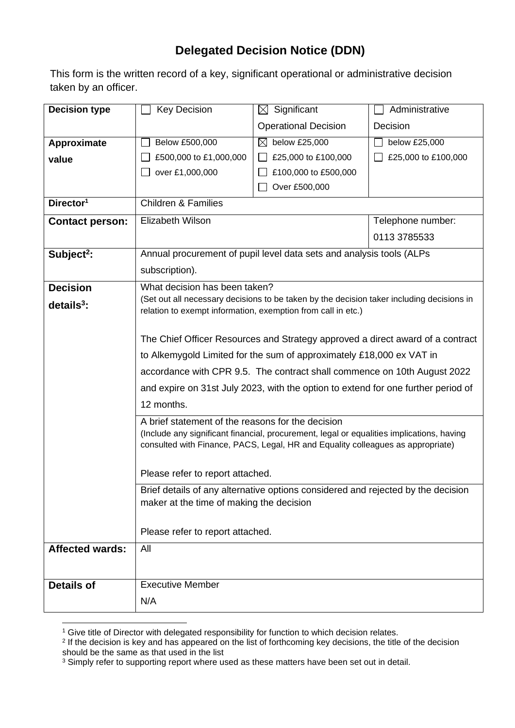## **Delegated Decision Notice (DDN)**

This form is the written record of a key, significant operational or administrative decision taken by an officer.

| <b>Decision type</b>   | <b>Key Decision</b>                                                                                                                                                          | $\boxtimes$ Significant     | Administrative      |  |
|------------------------|------------------------------------------------------------------------------------------------------------------------------------------------------------------------------|-----------------------------|---------------------|--|
|                        |                                                                                                                                                                              | <b>Operational Decision</b> | Decision            |  |
| Approximate            | Below £500,000                                                                                                                                                               | ⊠<br>below £25,000          | below £25,000       |  |
| value                  | £500,000 to £1,000,000                                                                                                                                                       | £25,000 to £100,000         | £25,000 to £100,000 |  |
|                        | over £1,000,000                                                                                                                                                              | £100,000 to £500,000        |                     |  |
|                        |                                                                                                                                                                              | Over £500,000               |                     |  |
| Director <sup>1</sup>  | <b>Children &amp; Families</b>                                                                                                                                               |                             |                     |  |
| <b>Contact person:</b> | <b>Elizabeth Wilson</b>                                                                                                                                                      |                             | Telephone number:   |  |
|                        |                                                                                                                                                                              |                             | 0113 3785533        |  |
| Subject <sup>2</sup> : | Annual procurement of pupil level data sets and analysis tools (ALPs                                                                                                         |                             |                     |  |
|                        | subscription).                                                                                                                                                               |                             |                     |  |
| <b>Decision</b>        | What decision has been taken?                                                                                                                                                |                             |                     |  |
| details <sup>3</sup> : | (Set out all necessary decisions to be taken by the decision taker including decisions in                                                                                    |                             |                     |  |
|                        | relation to exempt information, exemption from call in etc.)                                                                                                                 |                             |                     |  |
|                        | The Chief Officer Resources and Strategy approved a direct award of a contract                                                                                               |                             |                     |  |
|                        | to Alkemygold Limited for the sum of approximately £18,000 ex VAT in                                                                                                         |                             |                     |  |
|                        | accordance with CPR 9.5. The contract shall commence on 10th August 2022                                                                                                     |                             |                     |  |
|                        | and expire on 31st July 2023, with the option to extend for one further period of                                                                                            |                             |                     |  |
|                        | 12 months.                                                                                                                                                                   |                             |                     |  |
|                        | A brief statement of the reasons for the decision                                                                                                                            |                             |                     |  |
|                        | (Include any significant financial, procurement, legal or equalities implications, having<br>consulted with Finance, PACS, Legal, HR and Equality colleagues as appropriate) |                             |                     |  |
|                        |                                                                                                                                                                              |                             |                     |  |
|                        | Please refer to report attached.                                                                                                                                             |                             |                     |  |
|                        | Brief details of any alternative options considered and rejected by the decision                                                                                             |                             |                     |  |
|                        | maker at the time of making the decision                                                                                                                                     |                             |                     |  |
|                        | Please refer to report attached.                                                                                                                                             |                             |                     |  |
|                        |                                                                                                                                                                              |                             |                     |  |
| <b>Affected wards:</b> | All                                                                                                                                                                          |                             |                     |  |
|                        |                                                                                                                                                                              |                             |                     |  |
| <b>Details of</b>      | <b>Executive Member</b>                                                                                                                                                      |                             |                     |  |
|                        | N/A                                                                                                                                                                          |                             |                     |  |

<sup>&</sup>lt;sup>1</sup> Give title of Director with delegated responsibility for function to which decision relates.

<sup>2</sup> If the decision is key and has appeared on the list of forthcoming key decisions, the title of the decision should be the same as that used in the list

 $3$  Simply refer to supporting report where used as these matters have been set out in detail.